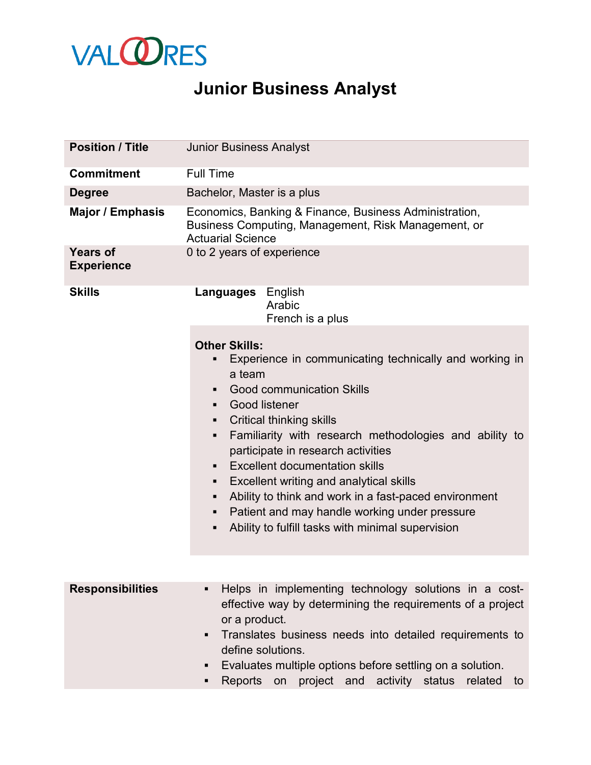

## **Junior Business Analyst**

| <b>Position / Title</b>              | <b>Junior Business Analyst</b>                                                                                                                                                                                                                                                                                                                                                                                                                                                                                                                                                                       |  |
|--------------------------------------|------------------------------------------------------------------------------------------------------------------------------------------------------------------------------------------------------------------------------------------------------------------------------------------------------------------------------------------------------------------------------------------------------------------------------------------------------------------------------------------------------------------------------------------------------------------------------------------------------|--|
| <b>Commitment</b>                    | <b>Full Time</b>                                                                                                                                                                                                                                                                                                                                                                                                                                                                                                                                                                                     |  |
| <b>Degree</b>                        | Bachelor, Master is a plus                                                                                                                                                                                                                                                                                                                                                                                                                                                                                                                                                                           |  |
| Major / Emphasis                     | Economics, Banking & Finance, Business Administration,<br>Business Computing, Management, Risk Management, or<br><b>Actuarial Science</b>                                                                                                                                                                                                                                                                                                                                                                                                                                                            |  |
| <b>Years of</b><br><b>Experience</b> | 0 to 2 years of experience                                                                                                                                                                                                                                                                                                                                                                                                                                                                                                                                                                           |  |
| <b>Skills</b>                        | <b>Languages</b> English<br>Arabic<br>French is a plus                                                                                                                                                                                                                                                                                                                                                                                                                                                                                                                                               |  |
|                                      | <b>Other Skills:</b><br>Experience in communicating technically and working in<br>٠<br>a team<br><b>Good communication Skills</b><br><b>Good listener</b><br>$\blacksquare$<br><b>Critical thinking skills</b><br>٠<br>Familiarity with research methodologies and ability to<br>٠<br>participate in research activities<br><b>Excellent documentation skills</b><br>٠<br>Excellent writing and analytical skills<br>٠<br>Ability to think and work in a fast-paced environment<br>٠<br>Patient and may handle working under pressure<br>٠<br>Ability to fulfill tasks with minimal supervision<br>٠ |  |
| <b>Responsibilities</b>              | Helps in implementing technology solutions in a cost-<br>effective way by determining the requirements of a project<br>or a product.<br>Translates business needs into detailed requirements to<br>٠<br>define solutions.<br>Evaluates multiple options before settling on a solution.<br>project and activity status<br>Reports<br>related<br>on<br>to<br>٠                                                                                                                                                                                                                                         |  |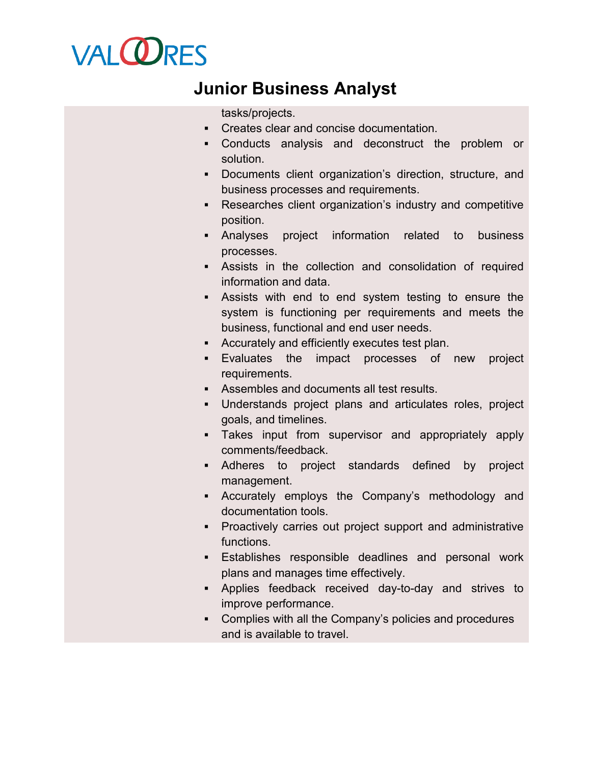## **VALORES**

## **Junior Business Analyst**

tasks/projects.

- Creates clear and concise documentation.
- Conducts analysis and deconstruct the problem or solution.
- Documents client organization's direction, structure, and business processes and requirements.
- Researches client organization's industry and competitive position.
- Analyses project information related to business processes.
- Assists in the collection and consolidation of required information and data.
- Assists with end to end system testing to ensure the system is functioning per requirements and meets the business, functional and end user needs.
- Accurately and efficiently executes test plan.
- Evaluates the impact processes of new project requirements.
- Assembles and documents all test results.
- Understands project plans and articulates roles, project goals, and timelines.
- Takes input from supervisor and appropriately apply comments/feedback.
- Adheres to project standards defined by project management.
- Accurately employs the Company's methodology and documentation tools.
- Proactively carries out project support and administrative functions.
- Establishes responsible deadlines and personal work plans and manages time effectively.
- Applies feedback received day-to-day and strives to improve performance.
- Complies with all the Company's policies and procedures and is available to travel.